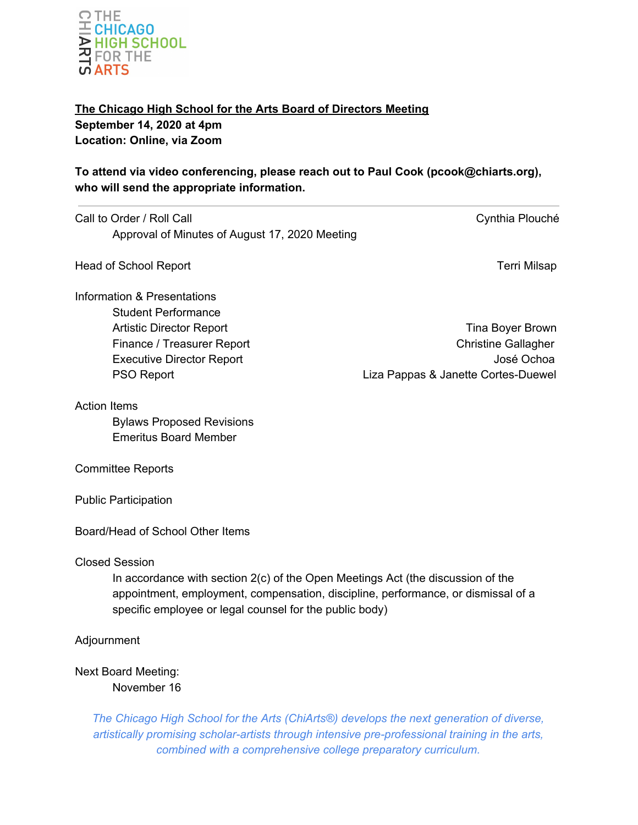

**The Chicago High School for the Arts Board of Directors Meeting September 14, 2020 at 4pm Location: Online, via Zoom**

**To attend via video conferencing, please reach out to Paul Cook (pcook@chiarts.org), who will send the appropriate information.**

| Call to Order / Roll Call                                                                                                                                                                                                                                | Cynthia Plouché                                   |
|----------------------------------------------------------------------------------------------------------------------------------------------------------------------------------------------------------------------------------------------------------|---------------------------------------------------|
| Approval of Minutes of August 17, 2020 Meeting                                                                                                                                                                                                           |                                                   |
| <b>Head of School Report</b>                                                                                                                                                                                                                             | <b>Terri Milsap</b>                               |
| Information & Presentations<br><b>Student Performance</b><br><b>Artistic Director Report</b><br>Finance / Treasurer Report                                                                                                                               | Tina Boyer Brown<br><b>Christine Gallagher</b>    |
| <b>Executive Director Report</b><br><b>PSO Report</b>                                                                                                                                                                                                    | José Ochoa<br>Liza Pappas & Janette Cortes-Duewel |
| <b>Action Items</b><br><b>Bylaws Proposed Revisions</b><br><b>Emeritus Board Member</b>                                                                                                                                                                  |                                                   |
| <b>Committee Reports</b>                                                                                                                                                                                                                                 |                                                   |
| <b>Public Participation</b>                                                                                                                                                                                                                              |                                                   |
| Board/Head of School Other Items                                                                                                                                                                                                                         |                                                   |
| <b>Closed Session</b><br>In accordance with section 2(c) of the Open Meetings Act (the discussion of the<br>appointment, employment, compensation, discipline, performance, or dismissal of a<br>specific employee or legal counsel for the public body) |                                                   |
| Adjournment                                                                                                                                                                                                                                              |                                                   |
| <b>Next Board Meeting:</b><br>November 16                                                                                                                                                                                                                |                                                   |

*The Chicago High School for the Arts (ChiArts®) develops the next generation of diverse, artistically promising scholar-artists through intensive pre-professional training in the arts, combined with a comprehensive college preparatory curriculum.*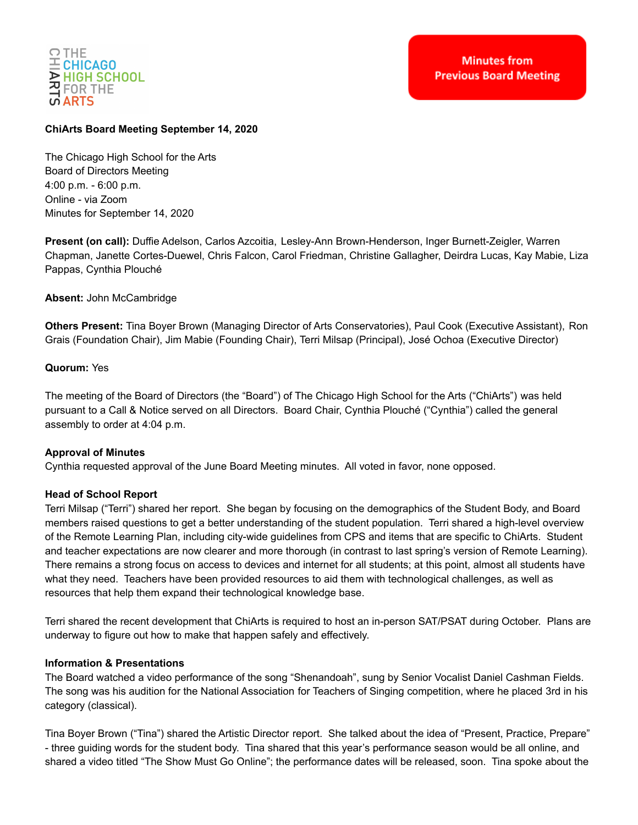

## **ChiArts Board Meeting September 14, 2020**

The Chicago High School for the Arts Board of Directors Meeting 4:00 p.m. - 6:00 p.m. Online - via Zoom Minutes for September 14, 2020

**Present (on call):** Duffie Adelson, Carlos Azcoitia, Lesley-Ann Brown-Henderson, Inger Burnett-Zeigler, Warren Chapman, Janette Cortes-Duewel, Chris Falcon, Carol Friedman, Christine Gallagher, Deirdra Lucas, Kay Mabie, Liza Pappas, Cynthia Plouché

**Absent:** John McCambridge

**Others Present:** Tina Boyer Brown (Managing Director of Arts Conservatories), Paul Cook (Executive Assistant), Ron Grais (Foundation Chair), Jim Mabie (Founding Chair), Terri Milsap (Principal), José Ochoa (Executive Director)

#### **Quorum:** Yes

The meeting of the Board of Directors (the "Board") of The Chicago High School for the Arts ("ChiArts") was held pursuant to a Call & Notice served on all Directors. Board Chair, Cynthia Plouché ("Cynthia") called the general assembly to order at 4:04 p.m.

### **Approval of Minutes**

Cynthia requested approval of the June Board Meeting minutes. All voted in favor, none opposed.

### **Head of School Report**

Terri Milsap ("Terri") shared her report. She began by focusing on the demographics of the Student Body, and Board members raised questions to get a better understanding of the student population. Terri shared a high-level overview of the Remote Learning Plan, including city-wide guidelines from CPS and items that are specific to ChiArts. Student and teacher expectations are now clearer and more thorough (in contrast to last spring's version of Remote Learning). There remains a strong focus on access to devices and internet for all students; at this point, almost all students have what they need. Teachers have been provided resources to aid them with technological challenges, as well as resources that help them expand their technological knowledge base.

Terri shared the recent development that ChiArts is required to host an in-person SAT/PSAT during October. Plans are underway to figure out how to make that happen safely and effectively.

#### **Information & Presentations**

The Board watched a video performance of the song "Shenandoah", sung by Senior Vocalist Daniel Cashman Fields. The song was his audition for the National Association for Teachers of Singing competition, where he placed 3rd in his category (classical).

Tina Boyer Brown ("Tina") shared the Artistic Director report. She talked about the idea of "Present, Practice, Prepare" - three guiding words for the student body. Tina shared that this year's performance season would be all online, and shared a video titled "The Show Must Go Online"; the performance dates will be released, soon. Tina spoke about the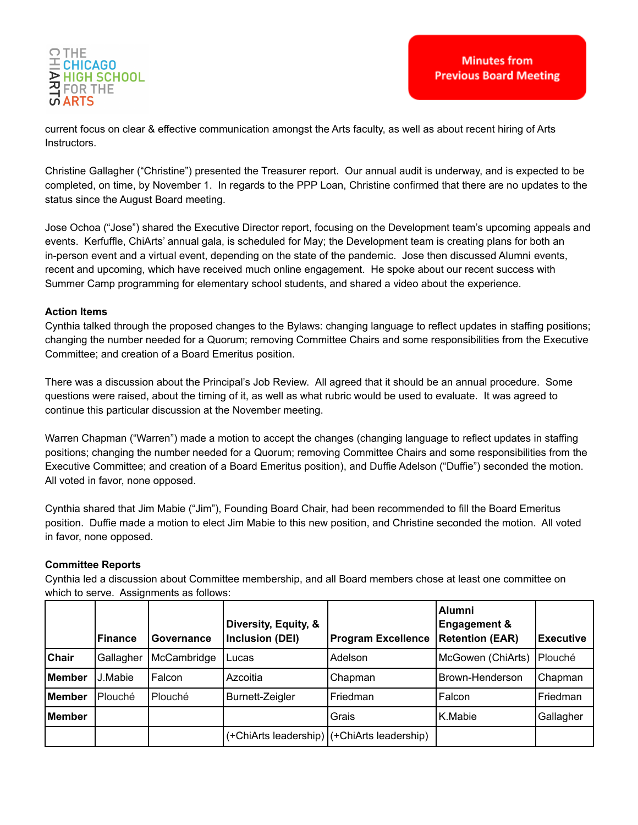

current focus on clear & effective communication amongst the Arts faculty, as well as about recent hiring of Arts Instructors.

Christine Gallagher ("Christine") presented the Treasurer report. Our annual audit is underway, and is expected to be completed, on time, by November 1. In regards to the PPP Loan, Christine confirmed that there are no updates to the status since the August Board meeting.

Jose Ochoa ("Jose") shared the Executive Director report, focusing on the Development team's upcoming appeals and events. Kerfuffle, ChiArts' annual gala, is scheduled for May; the Development team is creating plans for both an in-person event and a virtual event, depending on the state of the pandemic. Jose then discussed Alumni events, recent and upcoming, which have received much online engagement. He spoke about our recent success with Summer Camp programming for elementary school students, and shared a video about the experience.

#### **Action Items**

Cynthia talked through the proposed changes to the Bylaws: changing language to reflect updates in staffing positions; changing the number needed for a Quorum; removing Committee Chairs and some responsibilities from the Executive Committee; and creation of a Board Emeritus position.

There was a discussion about the Principal's Job Review. All agreed that it should be an annual procedure. Some questions were raised, about the timing of it, as well as what rubric would be used to evaluate. It was agreed to continue this particular discussion at the November meeting.

Warren Chapman ("Warren") made a motion to accept the changes (changing language to reflect updates in staffing positions; changing the number needed for a Quorum; removing Committee Chairs and some responsibilities from the Executive Committee; and creation of a Board Emeritus position), and Duffie Adelson ("Duffie") seconded the motion. All voted in favor, none opposed.

Cynthia shared that Jim Mabie ("Jim"), Founding Board Chair, had been recommended to fill the Board Emeritus position. Duffie made a motion to elect Jim Mabie to this new position, and Christine seconded the motion. All voted in favor, none opposed.

### **Committee Reports**

Cynthia led a discussion about Committee membership, and all Board members chose at least one committee on which to serve. Assignments as follows:

|              | lFinance  | Governance  | Diversity, Equity, &<br>Inclusion (DEI) | <b>Program Excellence</b>                   | <b>Alumni</b><br><b>Engagement &amp;</b><br><b>Retention (EAR)</b> | <b>Executive</b> |
|--------------|-----------|-------------|-----------------------------------------|---------------------------------------------|--------------------------------------------------------------------|------------------|
| <b>Chair</b> | Gallagher | McCambridge | Lucas                                   | Adelson                                     | McGowen (ChiArts)                                                  | Plouché          |
| Member       | J.Mabie   | Falcon      | Azcoitia                                | Chapman                                     | Brown-Henderson                                                    | Chapman          |
| lMember      | Plouché   | Plouché     | <b>Burnett-Zeigler</b>                  | Friedman                                    | Falcon                                                             | Friedman         |
| Member       |           |             |                                         | Grais                                       | K.Mabie                                                            | Gallagher        |
|              |           |             |                                         | (+ChiArts leadership) (+ChiArts leadership) |                                                                    |                  |